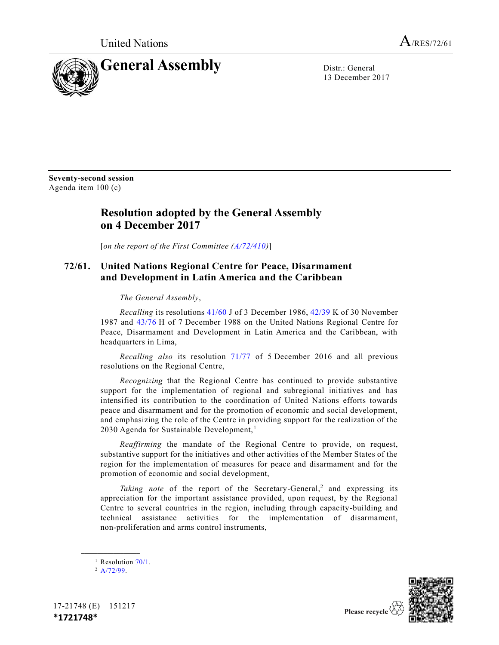

13 December 2017

**Seventy-second session** Agenda item 100 (c)

## **Resolution adopted by the General Assembly on 4 December 2017**

[*on the report of the First Committee [\(A/72/410\)](https://undocs.org/A/72/410)*]

## **72/61. United Nations Regional Centre for Peace, Disarmament and Development in Latin America and the Caribbean**

*The General Assembly*,

*Recalling* its resolutions [41/60](https://undocs.org/A/RES/41/60) J of 3 December 1986, [42/39](https://undocs.org/A/RES/42/39) K of 30 November 1987 and [43/76](https://undocs.org/A/RES/43/76) H of 7 December 1988 on the United Nations Regional Centre for Peace, Disarmament and Development in Latin America and the Caribbean, with headquarters in Lima,

*Recalling also* its resolution [71/77](https://undocs.org/A/RES/71/77) of 5 December 2016 and all previous resolutions on the Regional Centre,

*Recognizing* that the Regional Centre has continued to provide substantive support for the implementation of regional and subregional initiatives and has intensified its contribution to the coordination of United Nations efforts towards peace and disarmament and for the promotion of economic and social development, and emphasizing the role of the Centre in providing support for the realization of the 2030 Agenda for Sustainable Development, <sup>1</sup>

*Reaffirming* the mandate of the Regional Centre to provide, on request, substantive support for the initiatives and other activities of the Member States of the region for the implementation of measures for peace and disarmament and for the promotion of economic and social development,

Taking note of the report of the Secretary-General,<sup>2</sup> and expressing its appreciation for the important assistance provided, upon request, by the Regional Centre to several countries in the region, including through capacity-building and technical assistance activities for the implementation of disarmament, non-proliferation and arms control instruments,

**\_\_\_\_\_\_\_\_\_\_\_\_\_\_\_\_\_\_**





Please recycle  $\overline{\mathcal{C}}$ 

<sup>&</sup>lt;sup>1</sup> Resolution  $70/1$ .

 $2 A/72/99$ .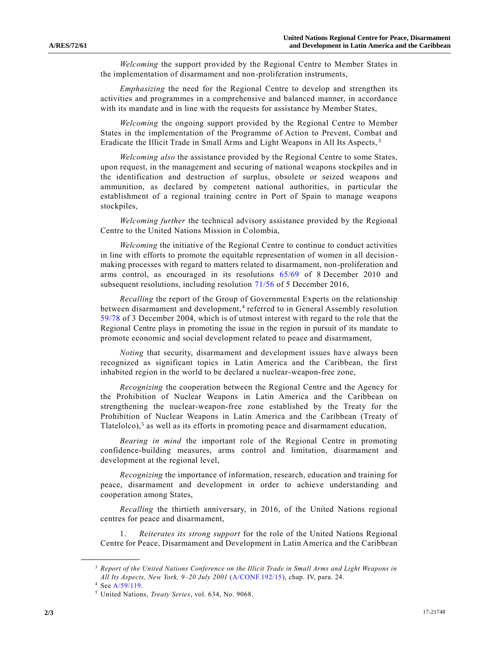*Welcoming* the support provided by the Regional Centre to Member States in the implementation of disarmament and non-proliferation instruments,

*Emphasizing* the need for the Regional Centre to develop and strengthen its activities and programmes in a comprehensive and balanced manner, in accordance with its mandate and in line with the requests for assistance by Member States,

*Welcoming* the ongoing support provided by the Regional Centre to Member States in the implementation of the Programme of Action to Prevent, Combat and Eradicate the Illicit Trade in Small Arms and Light Weapons in All Its Aspects, <sup>3</sup>

<span id="page-1-0"></span>*Welcoming also* the assistance provided by the Regional Centre to some States, upon request, in the management and securing of national weapons stockpiles and in the identification and destruction of surplus, obsolete or seized weapons and ammunition, as declared by competent national authorities, in particular the establishment of a regional training centre in Port of Spain to manage weapons stockpiles,

*Welcoming further* the technical advisory assistance provided by the Regional Centre to the United Nations Mission in Colombia,

*Welcoming* the initiative of the Regional Centre to continue to conduct activities in line with efforts to promote the equitable representation of women in all decisionmaking processes with regard to matters related to disarmament, non-proliferation and arms control, as encouraged in its resolutions [65/69](https://undocs.org/A/RES/65/69) of 8 December 2010 and subsequent resolutions, including resolution [71/56](https://undocs.org/A/RES/71/56) of 5 December 2016,

*Recalling* the report of the Group of Governmental Experts on the relationship between disarmament and development,<sup>4</sup> referred to in General Assembly resolution [59/78](https://undocs.org/A/RES/59/78) of 3 December 2004, which is of utmost interest with regard to the role that the Regional Centre plays in promoting the issue in the region in pursuit of its mandate to promote economic and social development related to peace and disarmament,

*Noting* that security, disarmament and development issues have always been recognized as significant topics in Latin America and the Caribbean, the first inhabited region in the world to be declared a nuclear-weapon-free zone,

*Recognizing* the cooperation between the Regional Centre and the Agency for the Prohibition of Nuclear Weapons in Latin America and the Caribbean on strengthening the nuclear-weapon-free zone established by the Treaty for the Prohibition of Nuclear Weapons in Latin America and the Caribbean (Treaty of Tlatelolco),<sup>5</sup> as well as its efforts in promoting peace and disarmament education,

*Bearing in mind* the important role of the Regional Centre in promoting confidence-building measures, arms control and limitation, disarmament and development at the regional level,

*Recognizing* the importance of information, research, education and training for peace, disarmament and development in order to achieve understanding and cooperation among States,

*Recalling* the thirtieth anniversary, in 2016, of the United Nations regional centres for peace and disarmament,

1. *Reiterates its strong support* for the role of the United Nations Regional Centre for Peace, Disarmament and Development in Latin America and the Caribbean

**\_\_\_\_\_\_\_\_\_\_\_\_\_\_\_\_\_\_**

<sup>3</sup> *Report of the United Nations Conference on the Illicit Trade in Small Arms and Light Weapons in All Its Aspects, New York, 9–20 July 2001* [\(A/CONF.192/15\)](https://undocs.org/A/CONF.192/15), chap. IV, para. 24.

<sup>4</sup> Se[e A/59/119.](https://undocs.org/A/59/119)

<sup>5</sup> United Nations, *Treaty Series*, vol. 634, No. 9068.